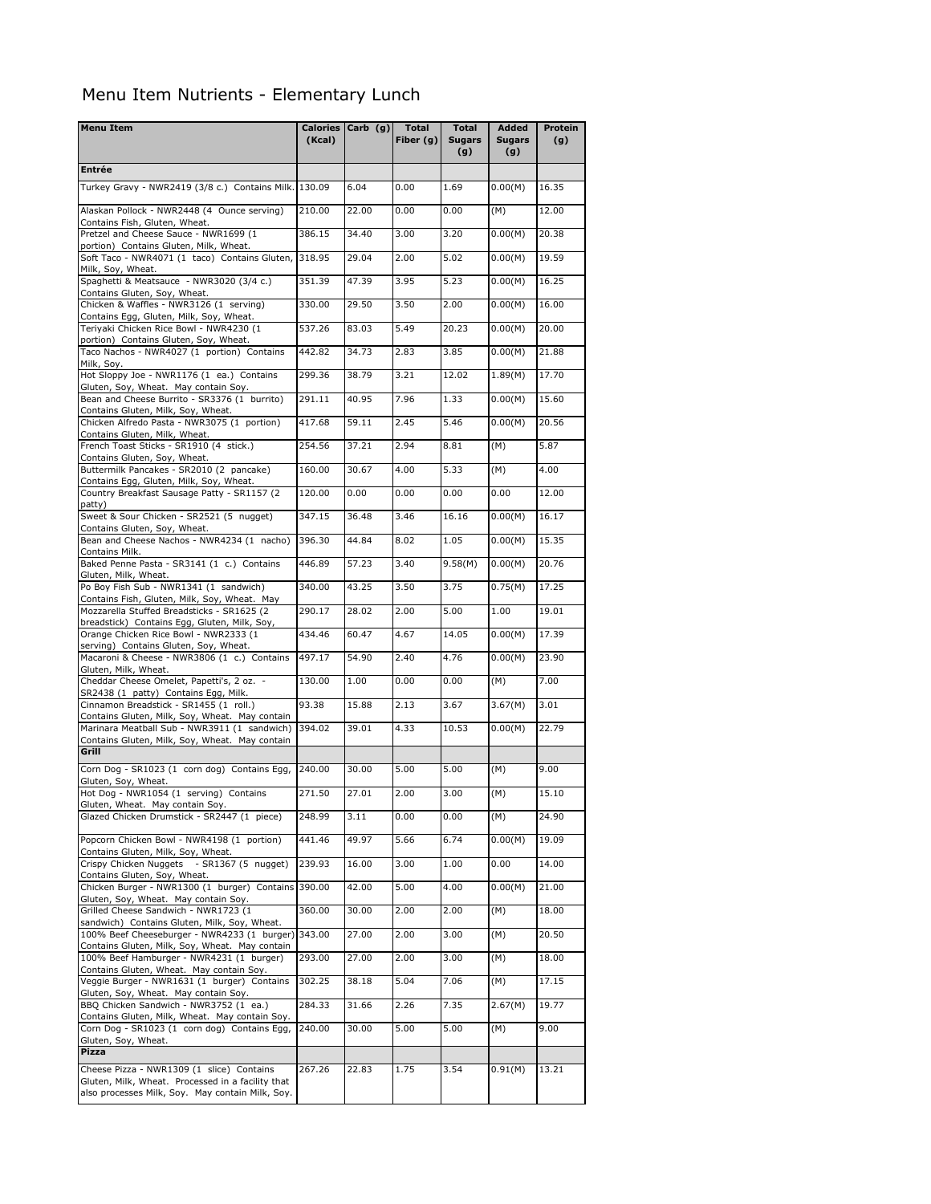## Menu Item Nutrients - Elementary Lunch

| <b>Menu Item</b>                                                                                      |        | Calories Carb (g) | Total       | <b>Total</b>         | Added                | Protein |
|-------------------------------------------------------------------------------------------------------|--------|-------------------|-------------|----------------------|----------------------|---------|
|                                                                                                       | (Kcal) |                   | Fiber $(g)$ | <b>Sugars</b><br>(g) | <b>Sugars</b><br>(g) | (g)     |
| <b>Entrée</b>                                                                                         |        |                   |             |                      |                      |         |
| Turkey Gravy - NWR2419 (3/8 c.) Contains Milk. 130.09                                                 |        | 6.04              | 0.00        | 1.69                 | 0.00(M)              | 16.35   |
| Alaskan Pollock - NWR2448 (4 Ounce serving)<br>Contains Fish, Gluten, Wheat.                          | 210.00 | 22.00             | 0.00        | 0.00                 | (M)                  | 12.00   |
| Pretzel and Cheese Sauce - NWR1699 (1                                                                 | 386.15 | 34.40             | 3.00        | 3.20                 | 0.00(M)              | 20.38   |
| portion) Contains Gluten, Milk, Wheat.<br>Soft Taco - NWR4071 (1 taco) Contains Gluten,               | 318.95 | 29.04             | 2.00        | 5.02                 | 0.00(M)              | 19.59   |
| Milk, Soy, Wheat.<br>Spaghetti & Meatsauce - NWR3020 (3/4 c.)                                         | 351.39 | 47.39             | 3.95        | 5.23                 | 0.00(M)              | 16.25   |
| Contains Gluten, Soy, Wheat.<br>Chicken & Waffles - NWR3126 (1 serving)                               | 330.00 | 29.50             | 3.50        | 2.00                 | 0.00(M)              | 16.00   |
| Contains Egg, Gluten, Milk, Soy, Wheat.<br>Teriyaki Chicken Rice Bowl - NWR4230 (1                    | 537.26 | 83.03             | 5.49        | 20.23                | 0.00(M)              | 20.00   |
| portion) Contains Gluten, Soy, Wheat.<br>Taco Nachos - NWR4027 (1 portion) Contains                   | 442.82 | 34.73             | 2.83        | 3.85                 | 0.00(M)              | 21.88   |
| Milk, Soy.<br>Hot Sloppy Joe - NWR1176 (1 ea.) Contains                                               | 299.36 | 38.79             | 3.21        | 12.02                | 1.89(M)              | 17.70   |
| Gluten, Soy, Wheat. May contain Soy.<br>Bean and Cheese Burrito - SR3376 (1 burrito)                  | 291.11 | 40.95             | 7.96        | 1.33                 | 0.00(M)              | 15.60   |
| Contains Gluten, Milk, Soy, Wheat.<br>Chicken Alfredo Pasta - NWR3075 (1 portion)                     | 417.68 | 59.11             | 2.45        | 5.46                 | 0.00(M)              | 20.56   |
| Contains Gluten, Milk, Wheat.<br>French Toast Sticks - SR1910 (4 stick.)                              | 254.56 | 37.21             | 2.94        | 8.81                 | (M)                  | 5.87    |
| Contains Gluten, Soy, Wheat.<br>Buttermilk Pancakes - SR2010 (2 pancake)                              | 160.00 | 30.67             | 4.00        | 5.33                 | (M)                  | 4.00    |
| Contains Egg, Gluten, Milk, Soy, Wheat.<br>Country Breakfast Sausage Patty - SR1157 (2                | 120.00 | 0.00              | 0.00        | 0.00                 | 0.00                 | 12.00   |
| patty)<br>Sweet & Sour Chicken - SR2521 (5 nugget)                                                    | 347.15 | 36.48             | 3.46        | 16.16                | 0.00(M)              | 16.17   |
| Contains Gluten, Soy, Wheat.<br>Bean and Cheese Nachos - NWR4234 (1 nacho)                            | 396.30 | 44.84             | 8.02        | 1.05                 | 0.00(M)              | 15.35   |
| Contains Milk.<br>Baked Penne Pasta - SR3141 (1 c.) Contains                                          | 446.89 | 57.23             | 3.40        | 9.58(M)              | 0.00(M)              | 20.76   |
| Gluten, Milk, Wheat.<br>Po Boy Fish Sub - NWR1341 (1 sandwich)                                        | 340.00 | 43.25             | 3.50        | 3.75                 | 0.75(M)              | 17.25   |
| Contains Fish, Gluten, Milk, Soy, Wheat. May<br>Mozzarella Stuffed Breadsticks - SR1625 (2            | 290.17 | 28.02             | 2.00        | 5.00                 | 1.00                 | 19.01   |
| breadstick) Contains Egg, Gluten, Milk, Soy,<br>Orange Chicken Rice Bowl - NWR2333 (1                 | 434.46 | 60.47             | 4.67        | 14.05                | 0.00(M)              | 17.39   |
| serving) Contains Gluten, Soy, Wheat.<br>Macaroni & Cheese - NWR3806 (1 c.) Contains                  | 497.17 | 54.90             | 2.40        | 4.76                 | 0.00(M)              | 23.90   |
| Gluten, Milk, Wheat.<br>Cheddar Cheese Omelet, Papetti's, 2 oz. -                                     | 130.00 | 1.00              | 0.00        | 0.00                 | (M)                  | 7.00    |
| SR2438 (1 patty) Contains Egg, Milk.<br>Cinnamon Breadstick - SR1455 (1 roll.)                        | 93.38  | 15.88             | 2.13        | 3.67                 | 3.67(M)              | 3.01    |
| Contains Gluten, Milk, Soy, Wheat. May contain<br>Marinara Meatball Sub - NWR3911 (1 sandwich)        | 394.02 | 39.01             | 4.33        | 10.53                | 0.00(M)              | 22.79   |
| Contains Gluten, Milk, Soy, Wheat. May contain<br>Grill                                               |        |                   |             |                      |                      |         |
| Corn Dog - SR1023 (1 corn dog) Contains Egg,                                                          | 240.00 | 30.00             | 5.00        | 5.00                 | (M)                  | 9.00    |
| Gluten, Soy, Wheat.                                                                                   |        |                   |             |                      |                      |         |
| Hot Dog - NWR1054 (1 serving) Contains<br>Gluten, Wheat. May contain Soy.                             | 271.50 | 27.01             | 2.00        | 3.00                 | (M)                  | 15.10   |
| Glazed Chicken Drumstick - SR2447 (1 piece)                                                           | 248.99 | 3.11              | 0.00        | 0.00                 | (M)                  | 24.90   |
| Popcorn Chicken Bowl - NWR4198 (1 portion)<br>Contains Gluten, Milk, Soy, Wheat.                      | 441.46 | 49.97             | 5.66        | 6.74                 | 0.00(M)              | 19.09   |
| Crispy Chicken Nuggets - SR1367 (5 nugget)<br>Contains Gluten, Soy, Wheat.                            | 239.93 | 16.00             | 3.00        | 1.00                 | 0.00                 | 14.00   |
| Chicken Burger - NWR1300 (1 burger) Contains<br>Gluten, Soy, Wheat. May contain Soy.                  | 390.00 | 42.00             | 5.00        | 4.00                 | 0.00(M)              | 21.00   |
| Grilled Cheese Sandwich - NWR1723 (1<br>sandwich) Contains Gluten, Milk, Soy, Wheat.                  | 360.00 | 30.00             | 2.00        | 2.00                 | (M)                  | 18.00   |
| 100% Beef Cheeseburger - NWR4233 (1 burger)<br>Contains Gluten, Milk, Soy, Wheat. May contain         | 343.00 | 27.00             | 2.00        | 3.00                 | (M)                  | 20.50   |
| 100% Beef Hamburger - NWR4231 (1 burger)<br>Contains Gluten, Wheat. May contain Soy.                  | 293.00 | 27.00             | 2.00        | 3.00                 | (M)                  | 18.00   |
| Veggie Burger - NWR1631 (1 burger) Contains<br>Gluten, Soy, Wheat. May contain Soy.                   | 302.25 | 38.18             | 5.04        | 7.06                 | (M)                  | 17.15   |
| BBQ Chicken Sandwich - NWR3752 (1 ea.)<br>Contains Gluten, Milk, Wheat. May contain Soy.              | 284.33 | 31.66             | 2.26        | 7.35                 | 2.67(M)              | 19.77   |
| Corn Dog - SR1023 (1 corn dog) Contains Egg,<br>Gluten, Soy, Wheat.                                   | 240.00 | 30.00             | 5.00        | 5.00                 | (M)                  | 9.00    |
| Pizza                                                                                                 |        |                   |             |                      |                      |         |
| Cheese Pizza - NWR1309 (1 slice) Contains                                                             | 267.26 | 22.83             | 1.75        | 3.54                 | 0.91(M)              | 13.21   |
| Gluten, Milk, Wheat. Processed in a facility that<br>also processes Milk, Soy. May contain Milk, Soy. |        |                   |             |                      |                      |         |